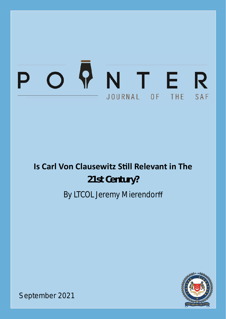## $\bullet$ NTER  $\overline{O}$ JOURNAL OF THE SAF

# **Is Carl Von Clausewitz Still Relevant in The 21st Century?** By LTCOL Jeremy Mierendorff



September 2021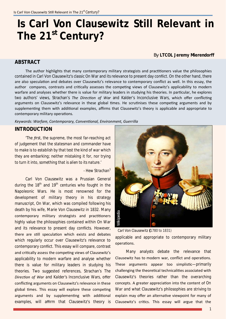## **Is Carl Von Clausewitz Still Relevant in The 21st Century?**

By **LTCOL Jeremy Mierendorff** 

### **ABSTRACT**

The author highlights that many contemporary military strategists and practitioners value the philosophies contained in Carl Von Clausewitz's classic *On War* and its relevance to present day conflict. On the other hand, there are also speculaƟon and debates over Clausewitz's relevance to contemporary conflict as well. In this essay, the author compares, contrasts and critically assesses the competing views of Clausewitz's applicability to modern warfare and analyses whether there is value for military leaders in studying his theories. In particular, he explores two authors' views, Strachan's The Direction of War and Kalder's *Inconclusive Wars*, which offer conflicting arguments on Clausewitz's relevance in these global times. He scrutinises these competing arguments and by supplementing them with additional examples, affirms that Clausewitz's theory is applicable and appropriate to contemporary military operations.

*Keywords: Warfare, Contemporary, ConvenƟonal, Environment, Guerrilla*

#### **INTRODUCTION**

*'The first, the supreme, the most far-reaching act of judgement that the statesman and commander have to make is to establish by that test the kind of war which they are embarking; neither mistaking it for, nor trying to turn it into, something that is alien to its nature.'*

#### *- Hew Strachan<sup>1</sup>*

Carl Von Clausewitz was a Prussian General during the  $18<sup>th</sup>$  and  $19<sup>th</sup>$  centuries who fought in the Napoleonic Wars. He is most renowned for the development of military theory in his strategy manuscript, *On War*, which was compiled following his death by his wife, Marie Von Clausewitz in 1832. Many contemporary military strategists and practitioners highly value the philosophies contained within *On War* and its relevance to present day conflicts. However, there are still speculation which exists and debates which regularly occur over Clausewitz's relevance to contemporary conflict. This essay will compare, contrast and critically assess the competing views of Clausewitz's applicability to modern warfare and analyse whether there is value for military leaders in studying his theories. Two suggested references, Strachan's *The DirecƟon of War* and Kalder's *Inconclusive Wars*, offer conflicting arguments on Clausewitz's relevance in these global times. This essay will explore these competing arguments and by supplementing with additional examples, will affirm that Clausewitz's theory is



applicable and appropriate to contemporary military operaƟons. *Carl Von Clausewitz* (1780 to 1831)

Many analysts debate the relevance that Clausewitz has to modern war, conflict and operations. These arguments appear too simplistic—primarily challenging the theoretical technicalities associated with Clausewitz's theories rather than the overarching concepts. A greater appreciaƟon into the content of *On War* and what Clausewitz's philosophies are striving to explain may offer an alternative viewpoint for many of Clausewitz's critics. This essay will argue that the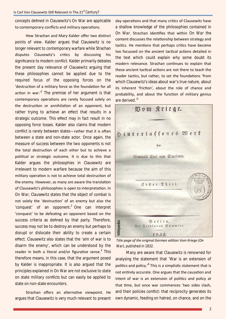concepts defined in Clausewitz's *On War* are applicable to contemporary conflicts and military operations.

Hew Strachan and Mary Kalder offer two distinct points of view. Kalder argues that Clausewitz is no longer relevant to contemporary warfare while Strachan disputes Clausewitz's critics by discussing his significance to modern conflict. Kalder primarily debates the present day relevance of Clausewitz arguing that these philosophies cannot be applied due to the required focus of the opposing forces on the 'destruction of a military force as the foundation for all action in war. $^2$  The premise of her argument is that contemporary operations are rarely focused solely on the destruction or annihilation of an opponent, but rather trying to achieve an effect that results in a strategic outcome. This effect may in fact result in no opposing force losses. Kalder also claims that modern conflict is rarely between states—rather that it is often between a state and non-state actor. Once again, the measure of success between the two opponents is not the total destruction of each other but to achieve a political or strategic outcome. It is due to this that Kalder argues the philosophies in Clausewitz are irrelevant to modern warfare because the aim of this military operation is not to achieve total destruction of the enemy. However, as many are aware the translation of Clausewitz's philosophies is open to interpretation. In *On War*, Clausewitz states that the object of combat is not solely the 'destruction' of an enemy but also the 'conquest' of an opponent. $3$  One can interpret 'conquest' to be defeating an opponent based on the success criteria as defined by that party. Therefore, success may not be to destroy an enemy but perhaps to disrupt or dislocate their ability to create a certain effect. Clausewitz also states that the 'aim of war is to disarm the enemy', which can be understood by the reader in both a literal and/or figurative sense.<sup>4</sup> This therefore means, in this case, that the argument posed by Kalder is inappropriate. It is also argued that the principles explained in *On War* are not exclusive to state on state military conflicts but can easily be applied to state on non-state encounters.

Strachan offers an alternative viewpoint. He argues that Clausewitz is very much relevant to present day operations and that many critics of Clausewitz have a shallow knowledge of the philosophies contained in *On War*. Strachan idenƟfies that within *On War* the content discusses the relationship between strategy and tactics. He mentions that perhaps critics have become too focussed on the ancient tactical actions detailed in the text which could explain why some doubt its modern relevance. Strachan continues to explain that these ancient tactical actions are not there to teach the reader tactics, but rather, to set the foundations 'from which Clausewitz's ideas about war's true nature, about its inherent 'friction', about the role of chance and probability, and about the function of military genius are derived.<sup>5</sup>



*Title page of the original German ediƟon Vom Kriege (On* 

Many are aware that Clausewitz is renowned for analysing the statement that 'War is an extension of politics and policy.<sup>,6</sup> This is a simplistic statement that is not entirely accurate. One argues that the causation and intent of war is an extension of politics and policy at that time, but once war commences 'two sides clash, and their policies conflict: that reciprocity generates its own dynamic, feeding on hatred, on chance, and on the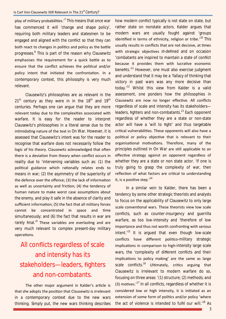play of military probabilities.'<sup>7</sup> This means that once war has commenced it will 'change and shape policy', requiring both military leaders and statesmen to be engaged and aligned with the conflict so that they can both react to changes in politics and policy as the battle progresses.<sup>8</sup> This is part of the reason why Clausewitz emphasises the requirement for a quick battle as to ensure that the conflict achieves the political and/or policy intent that initiated the confrontation. In a contemporary context, this philosophy is very much relevant.

Clausewitz's philosophies are as relevant in the  $21<sup>st</sup>$  century as they were in in the  $18<sup>th</sup>$  and  $19<sup>th</sup>$ centuries. Perhaps one can argue that they are more relevant today due to the complexities associated with warfare. It is easy for the reader to interpret Clausewitz's philosophies in a literal sense due to the intimidating nature of the text in *On War*. However, it is assessed that Clausewitz's intent was for the reader to recognise that warfare does not necessarily follow the logic of his theory. Clausewitz acknowledged that often there is a deviation from theory when conflict occurs in reality due to 'intervening variables such as: (1) the political guidance which rationally relates ends to means in war; (2) the asymmetry of the superiority of the defence over the offence; (3) the lack of information as well as uncertainty and friction; (4) the tendency of human nature to make worst case assumptions about the enemy, and play it safe in the absence of clarity and sufficient information; (5) the fact that all military forces cannot be concentrated in space and time simultaneously; and (6) the fact that results in war are rarely final.<sup>,9</sup> These variables are everlasting and are very much relevant to complex present-day military operaƟons.

### All conflicts regardless of scale and intensity has its stakeholders—leaders, fighters and non-combatants.

The other major argument in Kalder's article is that she adopts the position that Clausewitz is irrelevant in a contemporary context due to the new wars thinking. Simply put, the new wars thinking describes

how modern conflict typically is not state on state, but rather state on nonstate actors. Kalder argues that modern wars are usually fought against 'groups identified in terms of ethnicity, religion or tribe. $10^7$  This usually results in conflicts that are not decisive, at times with strategic objectives ill-defined and on occasion 'combatants are inspired to maintain a state of conflict because it provides them with lucrative economic benefits.'<sup>11</sup> However, one must also exercise judgment and understand that it may be a 'fallacy of thinking that victory in past wars was any more decisive than today.'<sup>12</sup> Whilst this view from Kalder is a valid assessment, one ponders how the philosophies in Clausewitz are now no longer effective. All conflicts regardless of scale and intensity has its stakeholders leaders, fighters and non-combatants.<sup>13</sup> Each opponent regardless of whether they are a state or non-state actor will have a 'will to fight' and thus targetable critical vulnerabilities. These opponents will also have a political or policy objective that is relevant to their organisational motivations. Therefore, many of the principles outlined in *On War* are still applicable to an effective strategy against an opponent regardless of whether they are a state or non state actor. 'If one is truly going to grasp the complexity of war, then reflection of what factors are critical to understanding it, is a positive step.' $14$ 

In a similar vein to Kalder, there has been a tendency by some other strategic theorists and analysts to focus on the applicability of Clausewitz to only large scale conventional wars. These theorists view low scale conflicts, such as counter-insurgency and guerrilla warfare, as too low-intensity and 'therefore of low importance and thus not worth confronting with serious intent. $15$  It is argued that even though low-scale conflicts have different politico-military strategic implications in comparison to high-intensity large scale wars, the 'complexity of different conflicts and their implications to policy making' are the same as large scale conflicts.<sup>16</sup> Ultimately, critics arguing that Clausewitz is irrelevant to modern warfare do so, focusing on three areas: '(1) structure; (2) methods; and (3) motives. $17$  In all conflicts, regardless of whether it is considered low or high intensity, it is initiated as an extension of some form of politics and/or policy 'where the act of violence is intended to fulfil our will.<sup>'18</sup> As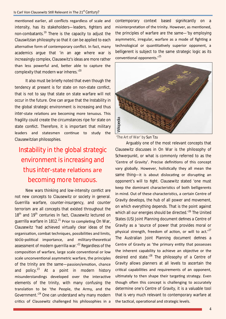mentioned earlier, all conflicts regardless of scale and intensity, has its stakeholders—leaders, fighters and non-combatants.<sup>19</sup> There is the capacity to adjust the Clauswitzian philosophy so that it can be applied to each alternative form of contemporary conflict. In fact, many academics argue that 'in an age where war is increasingly complex, Clausewitz's ideas are more rather than less powerful and, better able to capture the complexity that modern war inheres.<sup>'20</sup>

It also must be briefly noted that even though the tendency at present is for state on non-state conflict, that is not to say that state on state warfare will not occur in the future. One can argue that the Instability in the global strategic environment is increasing and thus inter-state relations are becoming more tenuous. This fragility could create the circumstances ripe for state on state conflict. Therefore, it is important that military leaders and statesmen continue to study the Clausewitzian philosophies.

### Instability in the global strategic environment is increasing and thus inter-state relations are becoming more tenuous.

New wars thinking and low-intensity conflict are not new concepts to Clausewitz or society in general. Guerrilla warfare, counter-insurgency, and counter terrorism are all concepts that existed throughout the 18<sup>th</sup> and 19<sup>th</sup> centuries In fact, Clausewitz lectured on guerrilla warfare in 1812.<sup>21</sup> Prior to completing *On War*, Clausewitz 'had achieved virtually clear ideas of the organisation, combat techniques, possibilities and limits, socio-political importance, and military-theoretical assessment of modern querrilla war.<sup>22</sup> Regardless of the composition of warfare, large scale conventional or low scale unconventional asymmetric warfare, the principles of the trinity are the same-passion/emotion, chance and policy.<sup>23</sup> At a point in modern history misunderstandings developed over the interactive elements of the trinity, with many confusing the translation to be 'the People, the Army, and the Government.'<sup>24</sup> One can understand why many modern critics of Clausewitz challenged his philosophies in a contemporary context based significantly on a misinterpretation of the trinity. However, as mentioned, the principles of warfare are the same—'by employing asymmetric, irregular, warfare as a mode of fighting a technological or quantitatively superior opponent, a belligerent is subject to the same strategic logic as its conventional opponents.'<sup>25</sup>



Arguably one of the most relevant concepts that Clausewitz discusses in *On War* is the philosophy of Schwerpunkt, or what is commonly referred to as the 'Centre of Gravity'. Precise definitions of this concept vary globally. However, holistically they all mean the same thing—it is about dislocating or disrupting an opponent's will to fight. Clausewitz stated 'one must keep the dominant characteristics of both belligerents in mind. Out of these characteristics, a certain Centre of Gravity develops, the hub of all power and movement, on which everything depends. That is the point against which all our energies should be directed.<sup>26</sup> The United States (US) Joint Planning document defines a Centre of Gravity as a 'source of power that provides moral or physical strength, freedom of action, or will to act.'<sup>27</sup> The Australian Joint Planning document defines a Centre of Gravity as 'the primary entity that possesses the inherent capability to achieve an objective or the desired end state. $128$  The philosophy of a Centre of Gravity allows planners at all levels to ascertain the critical capabilities and requirements of an opponent, ultimately to then shape their targeting strategy. Even though often this concept is challenging to accurately determine one's Centre of Gravity, it is a valuable tool that is very much relevant to contemporary warfare at the tactical, operational and strategic levels.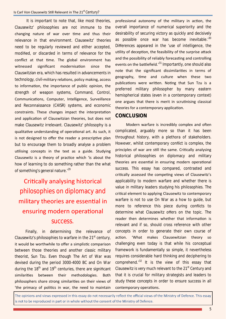It is important to note that, like most theories, Clausewitz' philosophies are not immune to the changing nature of war over time and thus their relevance in that environment. Clausewitz' theories need to be regularly reviewed and either accepted, modified, or discarded in terms of relevance for the conflict at that time. The global environment has witnessed significant modernisation since the Clauswitzian era, which has resulted in advancements in technology, civil-military relations, policy making, access to information, the importance of public opinion, the strength of weapon systems, Command, Control, Communications, Computer, Intelligence, Surveillance and Reconnaissance (C4ISR) systems, and economic constraints. These changes impact the interpretation and application of Clauswitzian theories, but does not make Clausewitz irrelevant. Clausewitz' philosophy is a qualitative understanding of operational art. As such, it is not designed to offer the reader a prescriptive plan but to encourage them to broadly analyse a problem utilising concepts in the text as a guide. Studying Clausewitz is a theory of practice which 'is about the how of learning to do something rather than the what of something's general nature.<sup>'29</sup>

### Critically analysing historical philosophies on diplomacy and military theories are essential in ensuring modern operational success.

Finally, in determining the relevance of Clausewitz's philosophies to warfare in the  $21<sup>st</sup>$  century, it would be worthwhile to offer a simplistic comparison between those theories and another classic military theorist, Sun Tzu. Even though *The Art of War* was devised during the period 3000-4000 BC and *On War* during the  $18<sup>th</sup>$  and  $19<sup>th</sup>$  centuries, there are significant similarities between their methodologies. Both philosophers share strong similarities on their views of 'the primacy of politics in war, the need to maintain

professional autonomy of the military in action, the overall importance of numerical superiority and the desirability of securing victory as quickly and decisively as possible once war has become inevitable.<sup>30</sup> Differences appeared in the 'use of intelligence, the utility of deception, the feasibility of the surprise attack and the possibility of reliably forecasting and controlling events on the battlefield.<sup>'31</sup> Importantly, one should also note that the significant dissimilarities in terms of geography, time and culture when these two publications were written. Noting that Sun Tzu is a preferred military philosopher by many eastern hemispherical states (even in a contemporary context) one argues that there is merit in scrutinising classical theories for a contemporary application.

### **CONCLUSION**

Modern warfare is incredibly complex and often complicated, arguably more so than it has been throughout history, with a plethora of stakeholders. However, whilst contemporary conflict is complex, the principles of war are still the same. Critically analysing historical philosophies on diplomacy and military theories are essential in ensuring modern operational success. This essay has compared, contrasted and critically assessed the competing views of Clausewitz's applicability to modern warfare and whether there is value in military leaders studying his philosophies. The critical element to applying Clausewitz to contemporary warfare is not to use *On War* as a how to guide, but more to reference this piece during conflicts to determine what Clausewitz offers on the topic. The reader then determines whether that information is relevant and if so, should cross reference with other concepts in order to generate their own course of action. 'What makes Clausewitzian theory so challenging even today is that while his conceptual framework is fundamentally so simple, it nevertheless requires considerable hard thinking and deciphering to comprehend. $32$  It is the view of this essay that Clausewitz is very much relevant to the 21<sup>st</sup> Century and that it is crucial for military strategists and leaders to study these concepts in order to ensure success in all contemporary operations.

The opinions and views expressed in this essay do not necessarily reflect the official views of the Ministry of Defence. This essay is not to be reproduced in part or in whole without the consent of the Ministry of Defence.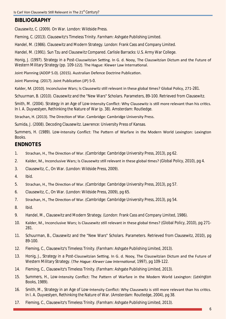### **BIBLIOGRAPHY**

Clausewitz, C. (2009). *On War*. London: Wildside Press.

Fleming, C. (2013). Clausewitz's Timeless Trinity. Farnham: Ashgate Publishing Limited.

Handel, M. (1986). Clausewitz and Modern Strategy. London: Frank Cass and Company Limited.

Handel, M. (1991). Sun Tzu and Clausewitz Compared. Carlisle Barracks: U.S. Army War College.

Honig, J. (1997). Strategy in a Post-Clauswitzian Setting. In G. d. Nooy, The Clauswitzian Dictum and the Future of Western Military Strategy (pp. 109-122). The Hague: Klewer Law International.

Joint Planning (ADDP 5.0). (2015). Australian Defence Doctrine Publication.

Joint Planning. (2017). Joint Publication (JP) 5-0.

Kalder, M. (2010). Inconclusive Wars; Is Clausewitz still relevant in these global times? Global Policy, 271-281.

Schuurman, B. (2010). Clausewitz and the "New Wars" Scholars. Parameters, 89-100. Retrieved from Clausewitz.

Smith, M. (2004). Strategy in an Age of Low-Intensity Conflict: Why Clausewitz is still more relevant than his critics. In I. A. Duyvestyen, Rethinking the Nature of War (p. 38). Amsterdam: Routledge.

Strachan, H. (2013). The Direction of War. Cambridge: Cambridge University Press.

Sumida, J. (2008). Decoding Clausewitz. Lawrence: University Press of Kansas.

Summers, H. (1989). Low-Intensity Conflict: The Pattern of Warfare in the Modern World Lexington: Lexington Books.

### **ENDNOTES**

- 1. Strachan, H., The Direction of War. (*Cambridge: Cambridge University Press*, 2013), pg 62.
- 2. Kalder, M., Inconclusive Wars; Is Clausewitz still relevant in these global times? (*Global Policy*, 2010), pg 4.
- 3. Clausewitz, C., *On War*. (*London: Wildside Press*, 2009).
- 4. Ibid.
- 5. Strachan, H., The Direction of War. (*Cambridge: Cambridge University Press*, 2013), pg 57.
- 6. Clausewitz, C., *On War*. (*London: Wildside Press*, 2009), pg 65.
- 7. Strachan, H., The Direction of War. (*Cambridge: Cambridge University Press*, 2013), pg 54.
- 8. Ibid.
- 9. Handel, M., Clausewitz and Modern Strategy. (*London: Frank Cass and Company Limited*, 1986).
- 10. Kalder, M., Inconclusive Wars; Is Clausewitz sƟll relevant in these global Ɵmes? (*Global Policy*, 2010), pg 271- 281.
- 11. Schuurman, B., Clausewitz and the "New Wars" Scholars. Parameters. Retrieved from Clausewitz, 2010), pg 89-100.
- 12. Fleming, C., Clausewitz's Timeless Trinity. (*Farnham: Ashgate Publishing Limited*, 2013).
- 13. Honig, J., Strategy in a Post-Clauswitzian Setting. In G. d. Nooy, The Clauswitzian Dictum and the Future of Western Military Strategy. (*The Hague: Klewer Law International*, 1997), pg 109-122.
- 14. Fleming, C., Clausewitz's Timeless Trinity. (*Farnham: Ashgate Publishing Limited*, 2013).
- 15. Summers, H., Low-Intensity Conflict: The Pattern of Warfare in the Modern World Lexington: (*Lexington Books*, 1989).
- 16. Smith, M., Strategy in an Age of Low-Intensity Conflict: Why Clausewitz is still more relevant than his critics. In I. A. Duyvestyen, Rethinking the Nature of War. (*Amsterdam: Routledge*, 2004), pg 38.
- 17. Fleming, C., Clausewitz's Timeless Trinity. (*Farnham: Ashgate Publishing Limited*, 2013).